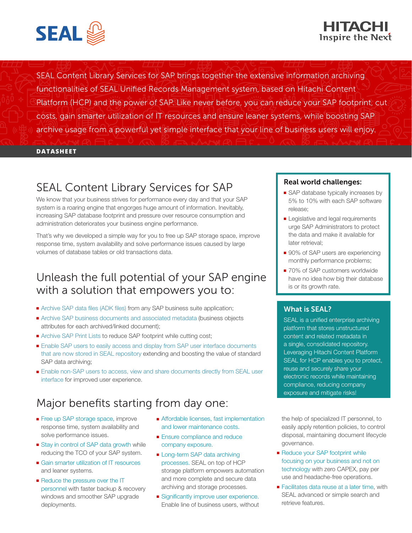



SEAL Content Library Services for SAP brings together the extensive information archiving functionalities of SEAL Unified Records Management system, based on Hitachi Content Platform (HCP) and the power of SAP. Like never before, you can reduce your SAP footprint, cut costs, gain smarter utilization of IT resources and ensure leaner systems, while boosting SAP archive usage from a powerful yet simple interface that your line of business users will enjoy.

#### **DATASHEET**

# SEAL Content Library Services for SAP

We know that your business strives for performance every day and that your SAP system is a roaring engine that engorges huge amount of information. Inevitably, increasing SAP database footprint and pressure over resource consumption and administration deteriorates your business engine performance.

That's why we developed a simple way for you to free up SAP storage space, improve response time, system availability and solve performance issues caused by large volumes of database tables or old transactions data.

# Unleash the full potential of your SAP engine with a solution that empowers you to:

- Archive SAP data files (ADK files) from any SAP business suite application;
- Archive SAP business documents and associated metadata (business objects attributes for each archived/linked document);
- Archive SAP Print Lists to reduce SAP footprint while cutting cost;
- Enable SAP users to easily access and display from SAP user interface documents that are now stored in SEAL repository extending and boosting the value of standard SAP data archiving;
- Enable non-SAP users to access, view and share documents directly from SEAL user interface for improved user experience.

## Major benefits starting from day one:

- Free up SAP storage space, improve response time, system availability and solve performance issues.
- Stay in control of SAP data growth while reducing the TCO of your SAP system.
- Gain smarter utilization of IT resources and leaner systems.
- Reduce the pressure over the IT personnel with faster backup & recovery windows and smoother SAP upgrade deployments.
- Affordable licenses, fast implementation and lower maintenance costs.
- Ensure compliance and reduce company exposure.
- Long-term SAP data archiving processes. SEAL on top of HCP storage platform empowers automation and more complete and secure data archiving and storage processes.
- Significantly improve user experience. Enable line of business users, without

#### Real world challenges:

- SAP database typically increases by 5% to 10% with each SAP software release;
- Legislative and legal requirements urge SAP Administrators to protect the data and make it available for later retrieval;
- 90% of SAP users are experiencing monthly performance problems;
- 70% of SAP customers worldwide have no idea how big their database is or its growth rate.

#### What is SEAL?

SEAL is a unified enterprise archiving platform that stores unstructured content and related metadata in a single, consolidated repository. Leveraging Hitachi Content Platform SEAL for HCP enables you to protect, reuse and securely share your electronic records while maintaining compliance, reducing company exposure and mitigate risks!

the help of specialized IT personnel, to easily apply retention policies, to control disposal, maintaining document lifecycle governance.

- Reduce your SAP footprint while focusing on your business and not on technology with zero CAPEX, pay per use and headache-free operations.
- Facilitates data reuse at a later time, with SEAL advanced or simple search and retrieve features.